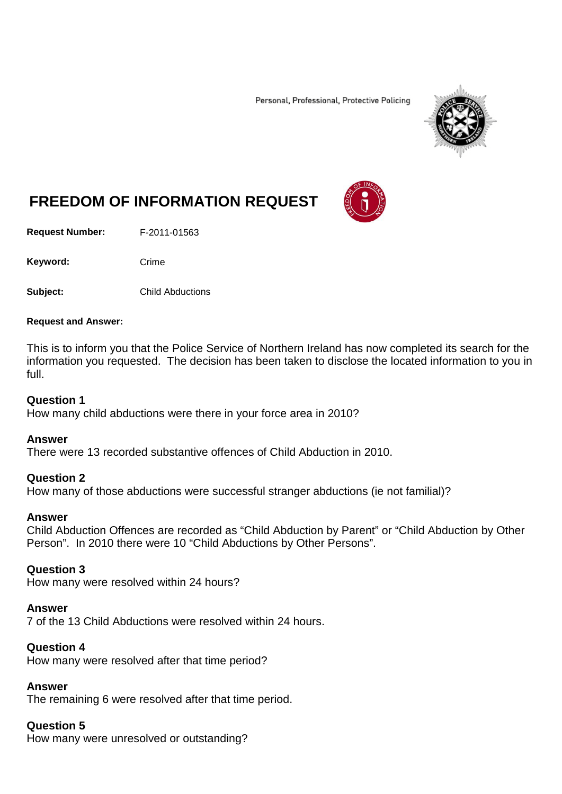Personal, Professional, Protective Policing



# **FREEDOM OF INFORMATION REQUEST**

**Request Number:** F-2011-01563

Keyword: Crime

**Subject:** Child Abductions

#### **Request and Answer:**

This is to inform you that the Police Service of Northern Ireland has now completed its search for the information you requested. The decision has been taken to disclose the located information to you in full.

#### **Question 1**

How many child abductions were there in your force area in 2010?

## **Answer**

There were 13 recorded substantive offences of Child Abduction in 2010.

## **Question 2**

How many of those abductions were successful stranger abductions (ie not familial)?

#### **Answer**

Child Abduction Offences are recorded as "Child Abduction by Parent" or "Child Abduction by Other Person". In 2010 there were 10 "Child Abductions by Other Persons".

## **Question 3**

How many were resolved within 24 hours?

#### **Answer**

7 of the 13 Child Abductions were resolved within 24 hours.

# **Question 4**

How many were resolved after that time period?

## **Answer**

The remaining 6 were resolved after that time period.

# **Question 5**

How many were unresolved or outstanding?